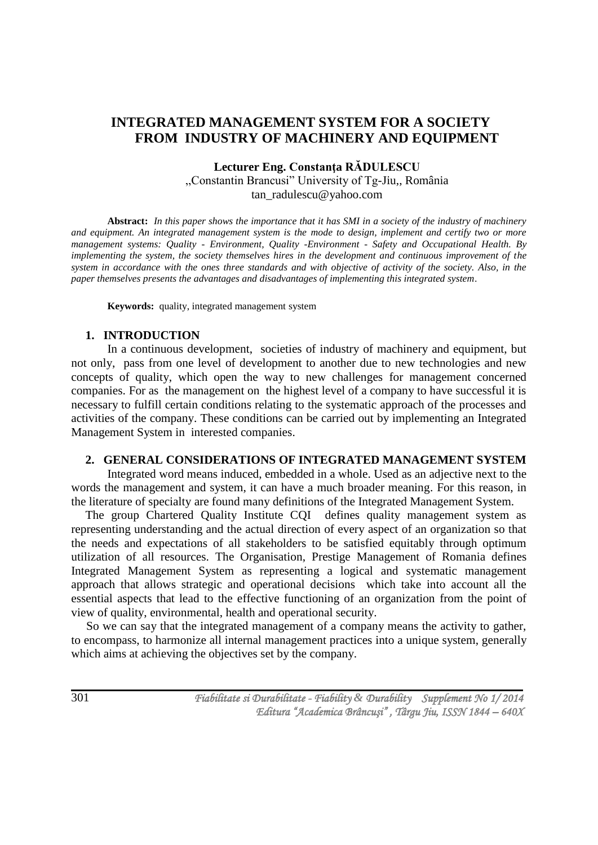# **INTEGRATED MANAGEMENT SYSTEM FOR A SOCIETY FROM INDUSTRY OF MACHINERY AND EQUIPMENT**

# **Lecturer Eng. Constanţa RĂDULESCU** ,,Constantin Brancusi" University of Tg-Jiu,, România tan\_radulescu@yahoo.com

**Abstract:** *In this paper shows the importance that it has SMI in a society of the industry of machinery and equipment. An integrated management system is the mode to design, implement and certify two or more management systems: Quality - Environment, Quality -Environment - Safety and Occupational Health. By implementing the system, the society themselves hires in the development and continuous improvement of the system in accordance with the ones three standards and with objective of activity of the society. Also, in the paper themselves presents the advantages and disadvantages of implementing this integrated system*.

**Keywords:** quality, integrated management system

### **1. INTRODUCTION**

In a continuous development, societies of industry of machinery and equipment, but not only, pass from one level of development to another due to new technologies and new concepts of quality, which open the way to new challenges for management concerned companies. For as the management on the highest level of a company to have successful it is necessary to fulfill certain conditions relating to the systematic approach of the processes and activities of the company. These conditions can be carried out by implementing an Integrated Management System in interested companies.

### **2. GENERAL CONSIDERATIONS OF INTEGRATED MANAGEMENT SYSTEM**

Integrated word means induced, embedded in a whole. Used as an adjective next to the words the management and system, it can have a much broader meaning. For this reason, in the literature of specialty are found many definitions of the Integrated Management System.

The group Chartered Quality Institute CQI defines quality management system as representing understanding and the actual direction of every aspect of an organization so that the needs and expectations of all stakeholders to be satisfied equitably through optimum utilization of all resources. The Organisation, Prestige Management of Romania defines Integrated Management System as representing a logical and systematic management approach that allows strategic and operational decisions which take into account all the essential aspects that lead to the effective functioning of an organization from the point of view of quality, environmental, health and operational security.

 So we can say that the integrated management of a company means the activity to gather, to encompass, to harmonize all internal management practices into a unique system, generally which aims at achieving the objectives set by the company.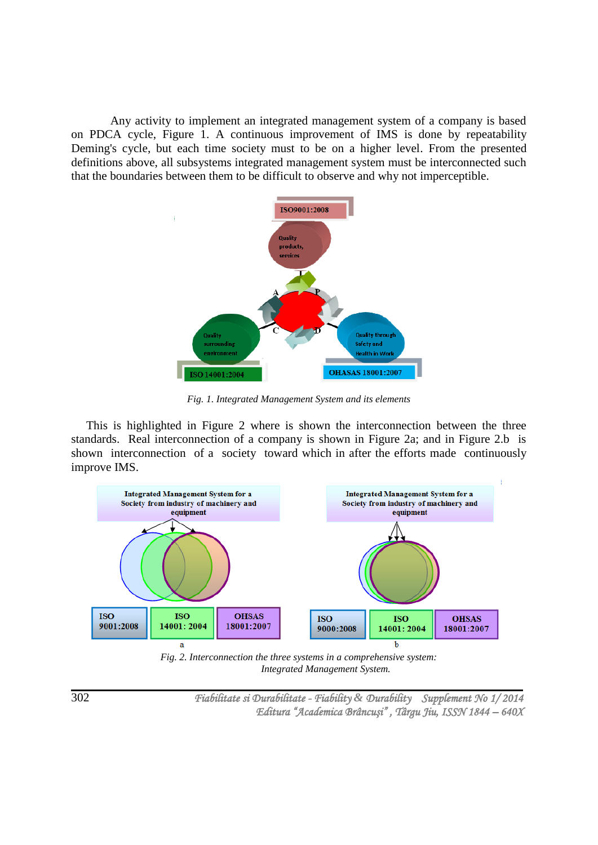Any activity to implement an integrated management system of a company is based on PDCA cycle, Figure 1. A continuous improvement of IMS is done by repeatability Deming's cycle, but each time society must to be on a higher level. From the presented definitions above, all subsystems integrated management system must be interconnected such that the boundaries between them to be difficult to observe and why not imperceptible.



*Fig. 1. Integrated Management System and its elements*

 This is highlighted in Figure 2 where is shown the interconnection between the three standards. Real interconnection of a company is shown in Figure 2a; and in Figure 2.b is shown interconnection of a society toward which in after the efforts made continuously improve IMS.



*Fig. 2. Interconnection the three systems in a comprehensive system: Integrated Management System.*

302

 *Fiabilitate si Durabilitate - Fiability & Durability Supplement No 1/ 2014 Editura "Academica Brâncuşi" , Târgu Jiu, ISSN 1844 – 640X*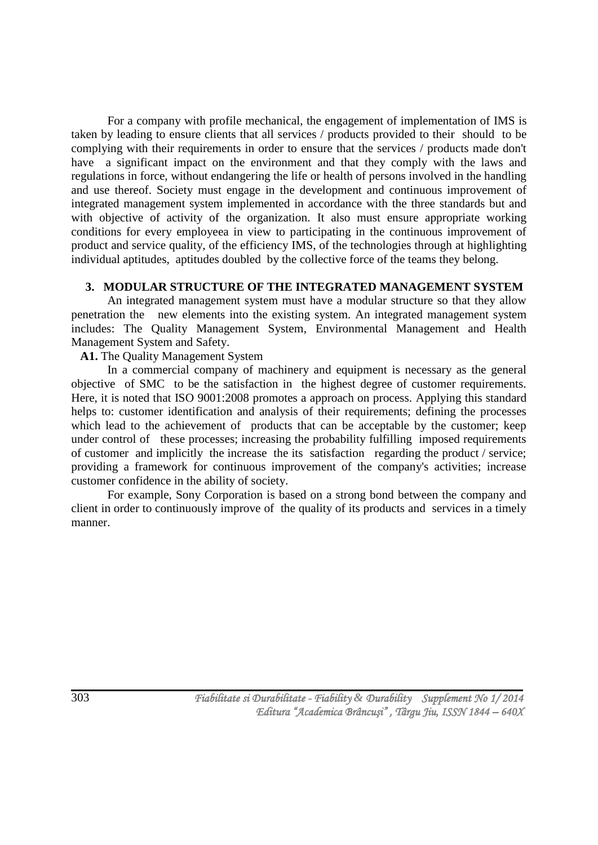For a company with profile mechanical, the engagement of implementation of IMS is taken by leading to ensure clients that all services / products provided to their should to be complying with their requirements in order to ensure that the services / products made don't have a significant impact on the environment and that they comply with the laws and regulations in force, without endangering the life or health of persons involved in the handling and use thereof. Society must engage in the development and continuous improvement of integrated management system implemented in accordance with the three standards but and with objective of activity of the organization. It also must ensure appropriate working conditions for every employeea in view to participating in the continuous improvement of product and service quality, of the efficiency IMS, of the technologies through at highlighting individual aptitudes, aptitudes doubled by the collective force of the teams they belong.

#### **3. MODULAR STRUCTURE OF THE INTEGRATED MANAGEMENT SYSTEM**

An integrated management system must have a modular structure so that they allow penetration the new elements into the existing system. An integrated management system includes: The Quality Management System, Environmental Management and Health Management System and Safety.

### **A1.** The Quality Management System

In a commercial company of machinery and equipment is necessary as the general objective of SMC to be the satisfaction in the highest degree of customer requirements. Here, it is noted that ISO 9001:2008 promotes a approach on process. Applying this standard helps to: customer identification and analysis of their requirements; defining the processes which lead to the achievement of products that can be acceptable by the customer; keep under control of these processes; increasing the probability fulfilling imposed requirements of customer and implicitly the increase the its satisfaction regarding the product / service; providing a framework for continuous improvement of the company's activities; increase customer confidence in the ability of society.

For example, Sony Corporation is based on a strong bond between the company and client in order to continuously improve of the quality of its products and services in a timely manner.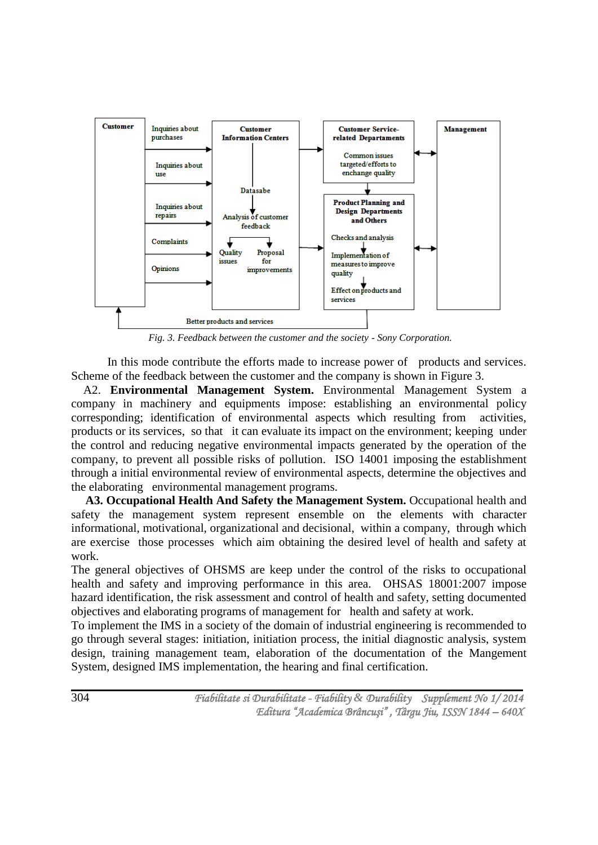

*Fig. 3. Feedback between the customer and the society - Sony Corporation.*

In this mode contribute the efforts made to increase power of products and services. Scheme of the feedback between the customer and the company is shown in Figure 3.

 A2. **Environmental Management System.** Environmental Management System a company in machinery and equipments impose: establishing an environmental policy corresponding; identification of environmental aspects which resulting from activities, products or its services, so that it can evaluate its impact on the environment; keeping under the control and reducing negative environmental impacts generated by the operation of the company, to prevent all possible risks of pollution. ISO 14001 imposing the establishment through a initial environmental review of environmental aspects, determine the objectives and the elaborating environmental management programs.

**A3. Occupational Health And Safety the Management System.** Occupational health and safety the management system represent ensemble on the elements with character informational, motivational, organizational and decisional, within a company, through which are exercise those processes which aim obtaining the desired level of health and safety at work.

The general objectives of OHSMS are keep under the control of the risks to occupational health and safety and improving performance in this area. OHSAS 18001:2007 impose hazard identification, the risk assessment and control of health and safety, setting documented objectives and elaborating programs of management for health and safety at work.

To implement the IMS in a society of the domain of industrial engineering is recommended to go through several stages: initiation, initiation process, the initial diagnostic analysis, system design, training management team, elaboration of the documentation of the Mangement System, designed IMS implementation, the hearing and final certification.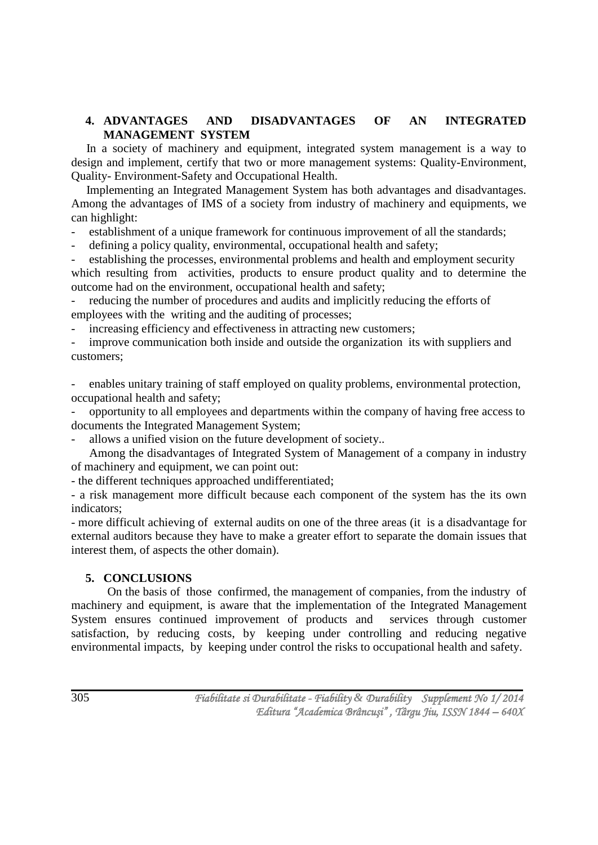### **4. ADVANTAGES AND DISADVANTAGES OF AN INTEGRATED MANAGEMENT SYSTEM**

 In a society of machinery and equipment, integrated system management is a way to design and implement, certify that two or more management systems: Quality-Environment, Quality- Environment-Safety and Occupational Health.

 Implementing an Integrated Management System has both advantages and disadvantages. Among the advantages of IMS of a society from industry of machinery and equipments, we can highlight:

establishment of a unique framework for continuous improvement of all the standards;

defining a policy quality, environmental, occupational health and safety;

establishing the processes, environmental problems and health and employment security which resulting from activities, products to ensure product quality and to determine the outcome had on the environment, occupational health and safety;

reducing the number of procedures and audits and implicitly reducing the efforts of employees with the writing and the auditing of processes;

increasing efficiency and effectiveness in attracting new customers;

improve communication both inside and outside the organization its with suppliers and customers;

- enables unitary training of staff employed on quality problems, environmental protection, occupational health and safety;

- opportunity to all employees and departments within the company of having free access to documents the Integrated Management System;

allows a unified vision on the future development of society..

Among the disadvantages of Integrated System of Management of a company in industry of machinery and equipment, we can point out:

- the different techniques approached undifferentiated;

- a risk management more difficult because each component of the system has the its own indicators;

- more difficult achieving of external audits on one of the three areas (it is a disadvantage for external auditors because they have to make a greater effort to separate the domain issues that interest them, of aspects the other domain).

# **5. CONCLUSIONS**

On the basis of those confirmed, the management of companies, from the industry of machinery and equipment, is aware that the implementation of the Integrated Management System ensures continued improvement of products and services through customer satisfaction, by reducing costs, by keeping under controlling and reducing negative environmental impacts, by keeping under control the risks to occupational health and safety.

305